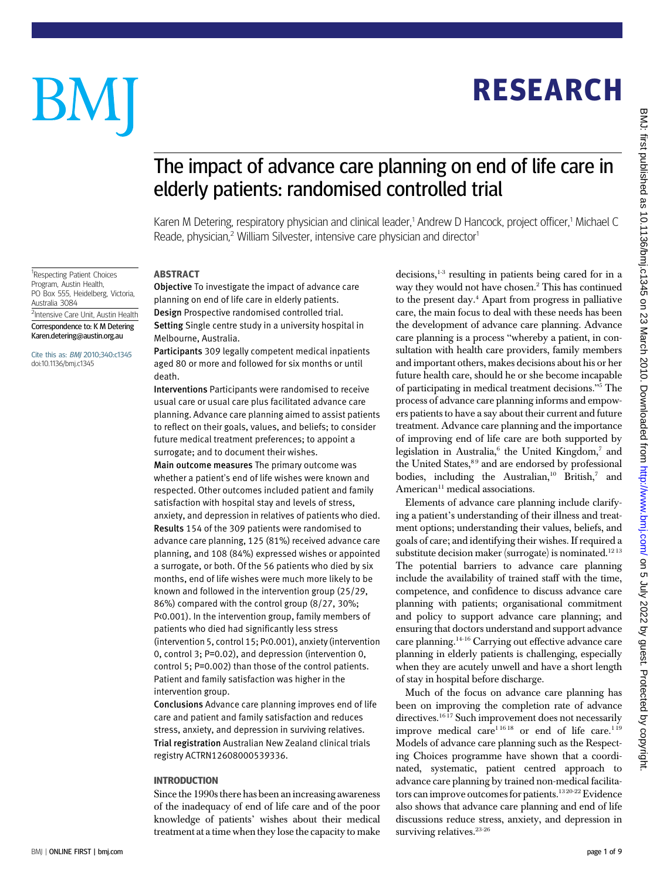# BM

<sup>1</sup>Respecting Patient Choices Program, Austin Health, PO Box 555, Heidelberg, Victoria,

<sup>2</sup>Intensive Care Unit, Austin Health Correspondence to: K M Detering Karen.detering@austin.org.au Cite this as: BMJ 2010;340:c1345 doi:10.1136/bmj.c1345

Australia 3084

## RESEARCH

### The impact of advance care planning on end of life care in elderly patients: randomised controlled trial

Karen M Detering, respiratory physician and clinical leader,<sup>1</sup> Andrew D Hancock, project officer,<sup>1</sup> Michael C Reade, physician,<sup>2</sup> William Silvester, intensive care physician and director<sup>1</sup>

#### ABSTRACT

Objective To investigate the impact of advance care planning on end of life care in elderly patients. Design Prospective randomised controlled trial. Setting Single centre study in a university hospital in Melbourne, Australia.

Participants 309 legally competent medical inpatients aged 80 or more and followed for six months or until death.

Interventions Participants were randomised to receive usual care or usual care plus facilitated advance care planning. Advance care planning aimed to assist patients to reflect on their goals, values, and beliefs; to consider future medical treatment preferences; to appoint a surrogate; and to document their wishes.

Main outcome measures The primary outcome was whether a patient's end of life wishes were known and respected. Other outcomes included patient and family satisfaction with hospital stay and levels of stress, anxiety, and depression in relatives of patients who died. Results 154 of the 309 patients were randomised to advance care planning, 125 (81%) received advance care planning, and 108 (84%) expressed wishes or appointed a surrogate, or both. Of the 56 patients who died by six months, end of life wishes were much more likely to be known and followed in the intervention group (25/29, 86%) compared with the control group (8/27, 30%; P<0.001). In the intervention group, family members of patients who died had significantly less stress (intervention 5, control 15; P<0.001), anxiety (intervention 0, control 3; P=0.02), and depression (intervention 0, control 5; P=0.002) than those of the control patients. Patient and family satisfaction was higher in the intervention group.

Conclusions Advance care planning improves end of life care and patient and family satisfaction and reduces stress, anxiety, and depression in surviving relatives. Trial registration Australian New Zealand clinical trials registry ACTRN12608000539336.

#### INTRODUCTION

Since the 1990s there has been an increasing awareness of the inadequacy of end of life care and of the poor knowledge of patients' wishes about their medical treatment at a time when they lose the capacity to make decisions, $1-3$  resulting in patients being cared for in a way they would not have chosen.2 This has continued to the present day.<sup>4</sup> Apart from progress in palliative care, the main focus to deal with these needs has been the development of advance care planning. Advance care planning is a process "whereby a patient, in consultation with health care providers, family members and important others, makes decisions about his or her future health care, should he or she become incapable of participating in medical treatment decisions."<sup>5</sup> The process of advance care planning informs and empowers patients to have a say about their current and future treatment. Advance care planning and the importance of improving end of life care are both supported by legislation in Australia, $6$  the United Kingdom, $7$  and the United States,<sup>89</sup> and are endorsed by professional bodies, including the Australian,<sup>10</sup> British,<sup>7</sup> and  $American<sup>11</sup> medical associations.$ 

Elements of advance care planning include clarifying a patient's understanding of their illness and treatment options; understanding their values, beliefs, and goals of care; and identifying their wishes. If required a substitute decision maker (surrogate) is nominated.<sup>1213</sup> The potential barriers to advance care planning include the availability of trained staff with the time, competence, and confidence to discuss advance care planning with patients; organisational commitment and policy to support advance care planning; and ensuring that doctors understand and support advance care planning.14-16 Carrying out effective advance care planning in elderly patients is challenging, especially when they are acutely unwell and have a short length of stay in hospital before discharge.

Much of the focus on advance care planning has been on improving the completion rate of advance directives.<sup>16 17</sup> Such improvement does not necessarily improve medical care<sup>11618</sup> or end of life care.<sup>119</sup> Models of advance care planning such as the Respecting Choices programme have shown that a coordinated, systematic, patient centred approach to advance care planning by trained non-medical facilitators can improve outcomes for patients.<sup>1320-22</sup> Evidence also shows that advance care planning and end of life discussions reduce stress, anxiety, and depression in surviving relatives.<sup>23-26</sup>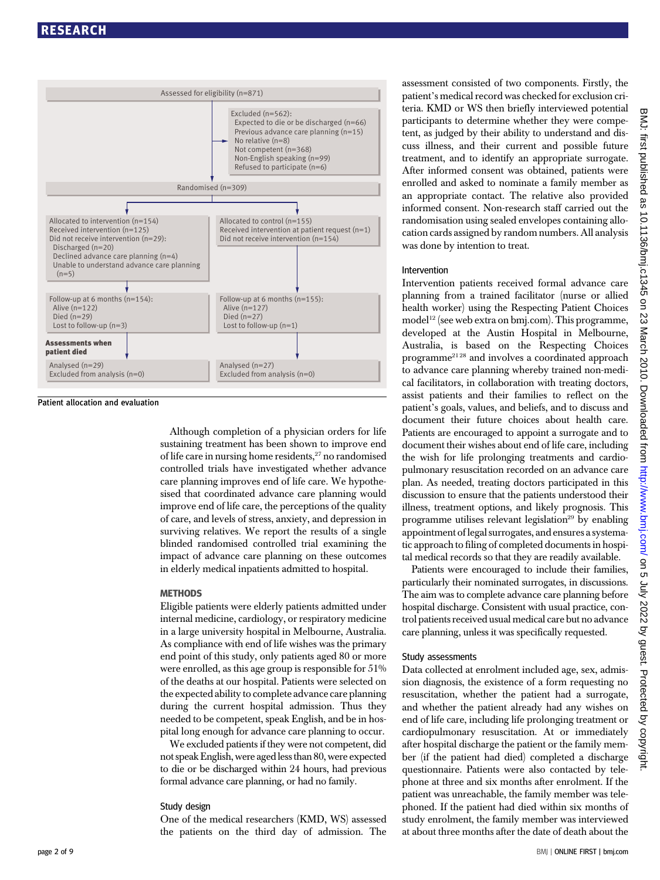

Patient allocation and evaluation

Although completion of a physician orders for life sustaining treatment has been shown to improve end of life care in nursing home residents,<sup>27</sup> no randomised controlled trials have investigated whether advance care planning improves end of life care. We hypothesised that coordinated advance care planning would improve end of life care, the perceptions of the quality of care, and levels of stress, anxiety, and depression in surviving relatives. We report the results of a single blinded randomised controlled trial examining the impact of advance care planning on these outcomes in elderly medical inpatients admitted to hospital.

#### **METHODS**

Eligible patients were elderly patients admitted under internal medicine, cardiology, or respiratory medicine in a large university hospital in Melbourne, Australia. As compliance with end of life wishes was the primary end point of this study, only patients aged 80 or more were enrolled, as this age group is responsible for 51% of the deaths at our hospital. Patients were selected on the expected ability to complete advance care planning during the current hospital admission. Thus they needed to be competent, speak English, and be in hospital long enough for advance care planning to occur.

We excluded patients if they were not competent, did not speak English, were aged less than 80, were expected to die or be discharged within 24 hours, had previous formal advance care planning, or had no family.

#### Study design

One of the medical researchers (KMD, WS) assessed the patients on the third day of admission. The assessment consisted of two components. Firstly, the patient's medical record was checked for exclusion criteria. KMD or WS then briefly interviewed potential participants to determine whether they were competent, as judged by their ability to understand and discuss illness, and their current and possible future treatment, and to identify an appropriate surrogate. After informed consent was obtained, patients were enrolled and asked to nominate a family member as an appropriate contact. The relative also provided informed consent. Non-research staff carried out the randomisation using sealed envelopes containing allocation cards assigned by random numbers. All analysis was done by intention to treat.

#### Intervention

Intervention patients received formal advance care planning from a trained facilitator (nurse or allied health worker) using the Respecting Patient Choices model<sup>12</sup> (see web extra on bmj.com). This programme, developed at the Austin Hospital in Melbourne, Australia, is based on the Respecting Choices programme21 28 and involves a coordinated approach to advance care planning whereby trained non-medical facilitators, in collaboration with treating doctors, assist patients and their families to reflect on the patient's goals, values, and beliefs, and to discuss and document their future choices about health care. Patients are encouraged to appoint a surrogate and to document their wishes about end of life care, including the wish for life prolonging treatments and cardiopulmonary resuscitation recorded on an advance care plan. As needed, treating doctors participated in this discussion to ensure that the patients understood their illness, treatment options, and likely prognosis. This programme utilises relevant legislation<sup>29</sup> by enabling appointment of legal surrogates, and ensures a systematic approach to filing of completed documents in hospital medical records so that they are readily available.

Patients were encouraged to include their families, particularly their nominated surrogates, in discussions. The aim was to complete advance care planning before hospital discharge. Consistent with usual practice, control patients received usual medical care but no advance care planning, unless it was specifically requested.

#### Study assessments

Data collected at enrolment included age, sex, admission diagnosis, the existence of a form requesting no resuscitation, whether the patient had a surrogate, and whether the patient already had any wishes on end of life care, including life prolonging treatment or cardiopulmonary resuscitation. At or immediately after hospital discharge the patient or the family member (if the patient had died) completed a discharge questionnaire. Patients were also contacted by telephone at three and six months after enrolment. If the patient was unreachable, the family member was telephoned. If the patient had died within six months of study enrolment, the family member was interviewed at about three months after the date of death about the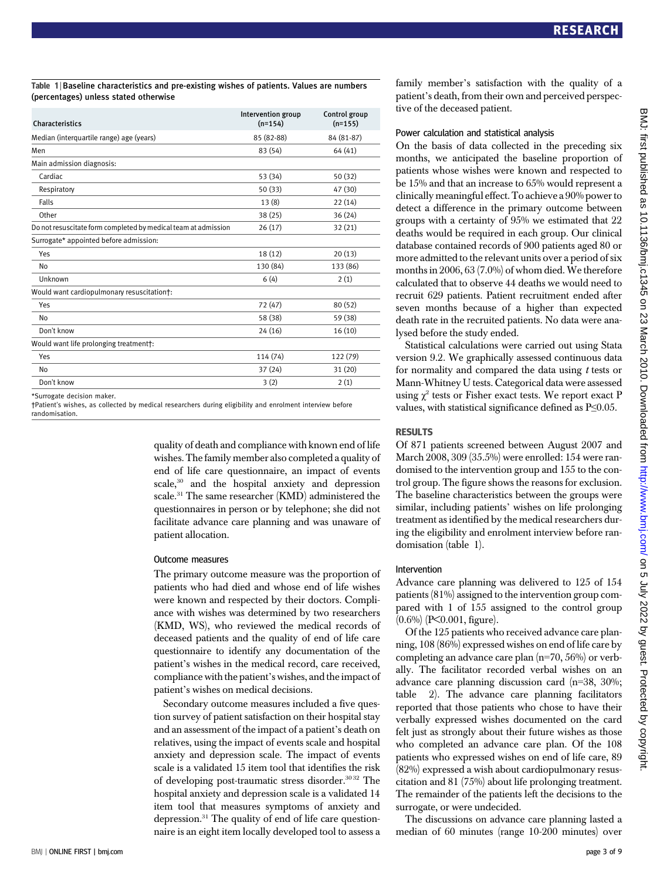#### Table 1 | Baseline characteristics and pre-existing wishes of patients. Values are numbers (percentages) unless stated otherwise

| <b>Characteristics</b>                                         | Intervention group<br>$(n=154)$ | Control group<br>$(n=155)$ |
|----------------------------------------------------------------|---------------------------------|----------------------------|
| Median (interquartile range) age (years)                       | 85 (82-88)                      | 84 (81-87)                 |
| Men                                                            | 83 (54)                         | 64(41)                     |
| Main admission diagnosis:                                      |                                 |                            |
| Cardiac                                                        | 53 (34)                         | 50 (32)                    |
| Respiratory                                                    | 50 (33)                         | 47 (30)                    |
| Falls                                                          | 13(8)                           | 22(14)                     |
| Other                                                          | 38 (25)                         | 36 (24)                    |
| Do not resuscitate form completed by medical team at admission | 26(17)                          | 32(21)                     |
| Surrogate* appointed before admission:                         |                                 |                            |
| Yes                                                            | 18 (12)                         | 20(13)                     |
| No                                                             | 130 (84)                        | 133 (86)                   |
| Unknown                                                        | 6(4)                            | 2(1)                       |
| Would want cardiopulmonary resuscitation†:                     |                                 |                            |
| Yes                                                            | 72 (47)                         | 80 (52)                    |
| No                                                             | 58 (38)                         | 59 (38)                    |
| Don't know                                                     | 24 (16)                         | 16(10)                     |
| Would want life prolonging treatmentt:                         |                                 |                            |
| Yes                                                            | 114 (74)                        | 122 (79)                   |
| No                                                             | 37 (24)                         | 31 (20)                    |
| Don't know                                                     | 3(2)                            | 2(1)                       |
|                                                                |                                 |                            |

\*Surrogate decision maker.

quality of death and compliance with known end of life wishes. The family member also completed a quality of end of life care questionnaire, an impact of events scale,<sup>30</sup> and the hospital anxiety and depression scale.31 The same researcher (KMD) administered the questionnaires in person or by telephone; she did not facilitate advance care planning and was unaware of patient allocation.

#### Outcome measures

The primary outcome measure was the proportion of patients who had died and whose end of life wishes were known and respected by their doctors. Compliance with wishes was determined by two researchers (KMD, WS), who reviewed the medical records of deceased patients and the quality of end of life care questionnaire to identify any documentation of the patient's wishes in the medical record, care received, compliance with the patient's wishes, and the impact of patient's wishes on medical decisions.

Secondary outcome measures included a five question survey of patient satisfaction on their hospital stay and an assessment of the impact of a patient's death on relatives, using the impact of events scale and hospital anxiety and depression scale. The impact of events scale is a validated 15 item tool that identifies the risk of developing post-traumatic stress disorder.<sup>30 32</sup> The hospital anxiety and depression scale is a validated 14 item tool that measures symptoms of anxiety and depression.31 The quality of end of life care questionnaire is an eight item locally developed tool to assess a family member's satisfaction with the quality of a patient's death, from their own and perceived perspective of the deceased patient.

#### Power calculation and statistical analysis

On the basis of data collected in the preceding six months, we anticipated the baseline proportion of patients whose wishes were known and respected to be 15% and that an increase to 65% would represent a clinically meaningful effect. To achieve a 90% power to detect a difference in the primary outcome between groups with a certainty of 95% we estimated that 22 deaths would be required in each group. Our clinical database contained records of 900 patients aged 80 or more admitted to the relevant units over a period of six months in 2006, 63 (7.0%) of whom died. We therefore calculated that to observe 44 deaths we would need to recruit 629 patients. Patient recruitment ended after seven months because of a higher than expected death rate in the recruited patients. No data were analysed before the study ended.

Statistical calculations were carried out using Stata version 9.2. We graphically assessed continuous data for normality and compared the data using  $t$  tests or Mann-Whitney U tests. Categorical data were assessed using  $\chi^2$  tests or Fisher exact tests. We report exact P values, with statistical significance defined as P≤0.05.

#### RESULTS

Of 871 patients screened between August 2007 and March 2008, 309 (35.5%) were enrolled: 154 were randomised to the intervention group and 155 to the control group. The figure shows the reasons for exclusion. The baseline characteristics between the groups were similar, including patients' wishes on life prolonging treatment as identified by the medical researchers during the eligibility and enrolment interview before randomisation (table 1).

#### Intervention

Advance care planning was delivered to 125 of 154 patients (81%) assigned to the intervention group compared with 1 of 155 assigned to the control group (0.6%) (P<0.001, figure).

Of the 125 patients who received advance care planning, 108 (86%) expressed wishes on end of life care by completing an advance care plan (n=70, 56%) or verbally. The facilitator recorded verbal wishes on an advance care planning discussion card (n=38, 30%; table 2). The advance care planning facilitators reported that those patients who chose to have their verbally expressed wishes documented on the card felt just as strongly about their future wishes as those who completed an advance care plan. Of the 108 patients who expressed wishes on end of life care, 89 (82%) expressed a wish about cardiopulmonary resuscitation and 81 (75%) about life prolonging treatment. The remainder of the patients left the decisions to the surrogate, or were undecided.

The discussions on advance care planning lasted a median of 60 minutes (range 10-200 minutes) over

<sup>†</sup>Patient's wishes, as collected by medical researchers during eligibility and enrolment interview before randomisation.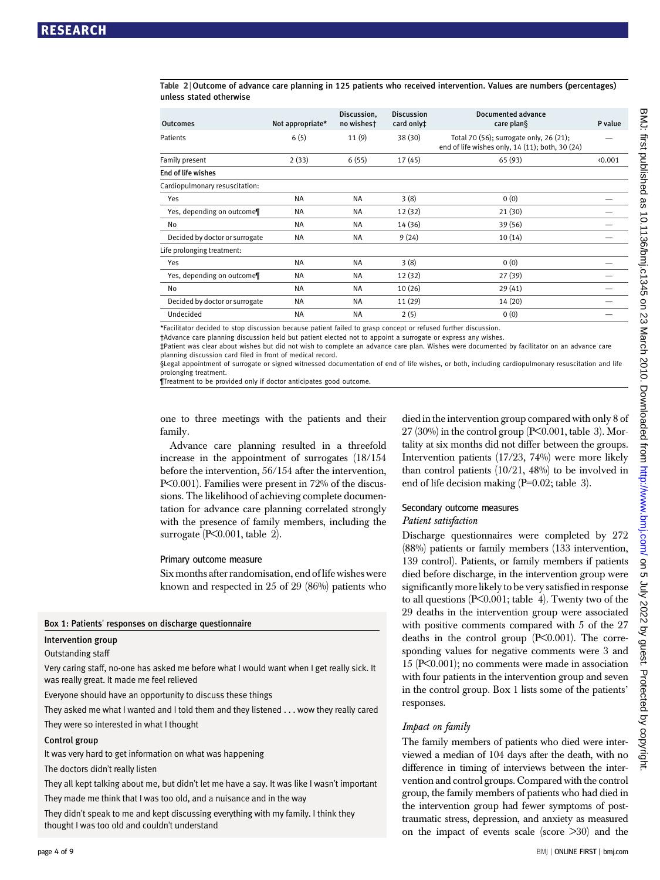Table 2 <sup>|</sup> Outcome of advance care planning in 125 patients who received intervention. Values are numbers (percentages) unless stated otherwise

| <b>Outcomes</b>                | Not appropriate* | Discussion,<br>no wishest | <b>Discussion</b><br>card only <sup>+</sup> | Documented advance<br>care plan§                                                           | P value |
|--------------------------------|------------------|---------------------------|---------------------------------------------|--------------------------------------------------------------------------------------------|---------|
| Patients                       | 6(5)             | 11(9)                     | 38(30)                                      | Total 70 (56); surrogate only, 26 (21);<br>end of life wishes only, 14 (11); both, 30 (24) |         |
| Family present                 | 2(33)            | 6(55)                     | 17(45)                                      | 65 (93)                                                                                    | 0.001   |
| End of life wishes             |                  |                           |                                             |                                                                                            |         |
| Cardiopulmonary resuscitation: |                  |                           |                                             |                                                                                            |         |
| Yes                            | <b>NA</b>        | <b>NA</b>                 | 3(8)                                        | 0(0)                                                                                       |         |
| Yes, depending on outcome¶     | <b>NA</b>        | <b>NA</b>                 | 12(32)                                      | 21 (30)                                                                                    |         |
| No                             | <b>NA</b>        | <b>NA</b>                 | 14 (36)                                     | 39 (56)                                                                                    |         |
| Decided by doctor or surrogate | <b>NA</b>        | <b>NA</b>                 | 9(24)                                       | 10(14)                                                                                     |         |
| Life prolonging treatment:     |                  |                           |                                             |                                                                                            |         |
| Yes                            | <b>NA</b>        | <b>NA</b>                 | 3(8)                                        | 0(0)                                                                                       |         |
| Yes, depending on outcome¶     | <b>NA</b>        | <b>NA</b>                 | 12(32)                                      | 27 (39)                                                                                    |         |
| No                             | <b>NA</b>        | <b>NA</b>                 | 10(26)                                      | 29(41)                                                                                     |         |
| Decided by doctor or surrogate | <b>NA</b>        | <b>NA</b>                 | 11 (29)                                     | 14 (20)                                                                                    |         |
| Undecided                      | <b>NA</b>        | <b>NA</b>                 | 2(5)                                        | 0(0)                                                                                       |         |
|                                |                  |                           |                                             |                                                                                            |         |

\*Facilitator decided to stop discussion because patient failed to grasp concept or refused further discussion.

†Advance care planning discussion held but patient elected not to appoint a surrogate or express any wishes.

‡Patient was clear about wishes but did not wish to complete an advance care plan. Wishes were documented by facilitator on an advance care planning discussion card filed in front of medical record.

§Legal appointment of surrogate or signed witnessed documentation of end of life wishes, or both, including cardiopulmonary resuscitation and life prolonging treatment.

Treatment to be provided only if doctor anticipates good outcome

one to three meetings with the patients and their family.

Advance care planning resulted in a threefold increase in the appointment of surrogates (18/154 before the intervention, 56/154 after the intervention, P<0.001). Families were present in 72% of the discussions. The likelihood of achieving complete documentation for advance care planning correlated strongly with the presence of family members, including the surrogate  $(P<0.001$ , table 2).

#### Primary outcome measure

Six months after randomisation, end of life wishes were known and respected in 25 of 29 (86%) patients who

#### Box 1: Patients' responses on discharge questionnaire

#### Intervention group

Outstanding staff

Very caring staff, no-one has asked me before what I would want when I get really sick. It was really great. It made me feel relieved

Everyone should have an opportunity to discuss these things

They asked me what I wanted and I told them and they listened . . . wow they really cared They were so interested in what I thought

#### Control group

It was very hard to get information on what was happening

The doctors didn't really listen

They all kept talking about me, but didn't let me have a say. It was like I wasn't important They made me think that I was too old, and a nuisance and in the way

They didn't speak to me and kept discussing everything with my family. I think they thought I was too old and couldn't understand

died in the intervention group compared with only 8 of  $27$  (30%) in the control group (P<0.001, table 3). Mortality at six months did not differ between the groups. Intervention patients (17/23, 74%) were more likely than control patients  $(10/21, 48%)$  to be involved in end of life decision making (P=0.02; table 3).

#### Secondary outcome measures

#### Patient satisfaction

Discharge questionnaires were completed by 272 (88%) patients or family members (133 intervention, 139 control). Patients, or family members if patients died before discharge, in the intervention group were significantly more likely to be very satisfied in response to all questions  $(P<0.001$ ; table 4). Twenty two of the 29 deaths in the intervention group were associated with positive comments compared with 5 of the 27 deaths in the control group  $(P<0.001)$ . The corresponding values for negative comments were 3 and 15 (P<0.001); no comments were made in association with four patients in the intervention group and seven in the control group. Box 1 lists some of the patients' responses.

#### Impact on family

The family members of patients who died were interviewed a median of 104 days after the death, with no difference in timing of interviews between the intervention and control groups. Compared with the control group, the family members of patients who had died in the intervention group had fewer symptoms of posttraumatic stress, depression, and anxiety as measured on the impact of events scale (score  $>30$ ) and the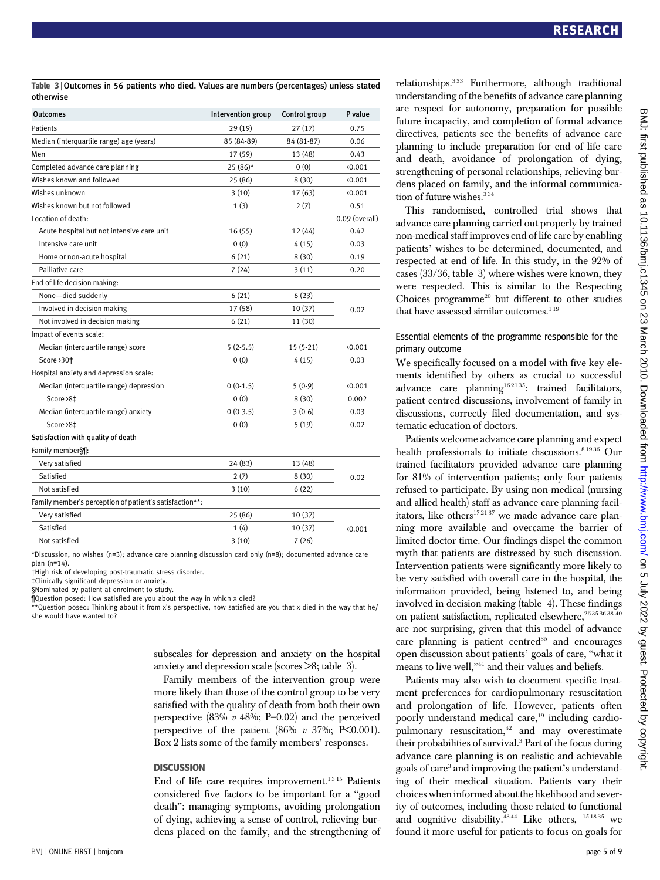Table 3 <sup>|</sup> Outcomes in 56 patients who died. Values are numbers (percentages) unless stated otherwise

| <b>Outcomes</b>                                         | Intervention group | Control group | P value        |  |
|---------------------------------------------------------|--------------------|---------------|----------------|--|
| Patients                                                | 29 (19)            | 27 (17)       | 0.75           |  |
| Median (interquartile range) age (years)                | 85 (84-89)         | 84 (81-87)    | 0.06           |  |
| Men                                                     | 17 (59)            | 13 (48)       | 0.43           |  |
| Completed advance care planning                         | 25 (86)*           | 0(0)          | 0.001          |  |
| Wishes known and followed                               | 25 (86)            | 8(30)         | 0.001          |  |
| Wishes unknown                                          | 3(10)              | 17 (63)       | (0.001)        |  |
| Wishes known but not followed                           | 1(3)               | 2(7)          | 0.51           |  |
| Location of death:                                      |                    |               | 0.09 (overall) |  |
| Acute hospital but not intensive care unit              | 16(55)             | 12 (44)       | 0.42           |  |
| Intensive care unit                                     | 0(0)               | 4(15)         | 0.03           |  |
| Home or non-acute hospital                              | 6(21)              | 8(30)         | 0.19           |  |
| Palliative care                                         | 7(24)              | 3(11)         | 0.20           |  |
| End of life decision making:                            |                    |               |                |  |
| None-died suddenly                                      | 6(21)              | 6(23)         |                |  |
| Involved in decision making                             | 17 (58)            | 10 (37)       | 0.02           |  |
| Not involved in decision making                         | 6(21)              | 11 (30)       |                |  |
| Impact of events scale:                                 |                    |               |                |  |
| Median (interquartile range) score                      | $5(2-5.5)$         | $15(5-21)$    | 0.001          |  |
| Score > 30+                                             | 0(0)               | 4 (15)        | 0.03           |  |
| Hospital anxiety and depression scale:                  |                    |               |                |  |
| Median (interquartile range) depression                 | $0(0-1.5)$         | $5(0-9)$      | 0.001          |  |
| Score >8‡                                               | 0(0)               | 8(30)         | 0.002          |  |
| Median (interquartile range) anxiety                    | $0(0-3.5)$         | $3(0-6)$      | 0.03           |  |
| Score >8‡                                               | 0(0)               | 5(19)         | 0.02           |  |
| Satisfaction with quality of death                      |                    |               |                |  |
| Family member§¶:                                        |                    |               |                |  |
| Very satisfied                                          | 24 (83)            | 13 (48)       | 0.02           |  |
| Satisfied                                               | 2(7)               | 8(30)         |                |  |
| Not satisfied                                           | 3(10)              | 6(22)         |                |  |
| Family member's perception of patient's satisfaction**: |                    |               |                |  |
| Very satisfied                                          | 25 (86)            | 10 (37)       |                |  |
| Satisfied                                               | 1(4)               | 10 (37)       | 0.001          |  |
| Not satisfied                                           | 3(10)              | 7(26)         |                |  |

\*Discussion, no wishes (n=3); advance care planning discussion card only (n=8); documented advance care plan (n=14).

†High risk of developing post-traumatic stress disorder.

‡Clinically significant depression or anxiety.

§Nominated by patient at enrolment to study.

¶Question posed: How satisfied are you about the way in which x died?

\*\*Question posed: Thinking about it from x's perspective, how satisfied are you that x died in the way that he/ she would have wanted to?

> subscales for depression and anxiety on the hospital anxiety and depression scale (scores >8; table 3).

Family members of the intervention group were more likely than those of the control group to be very satisfied with the quality of death from both their own perspective  $(83\% \, v \, 48\%; \, P=0.02)$  and the perceived perspective of the patient  $(86\% \text{ v } 37\%; \text{ P}\leq 0.001)$ . Box 2 lists some of the family members' responses.

#### **DISCUSSION**

End of life care requires improvement.<sup>1315</sup> Patients considered five factors to be important for a "good death": managing symptoms, avoiding prolongation of dying, achieving a sense of control, relieving burdens placed on the family, and the strengthening of relationships.3 33 Furthermore, although traditional understanding of the benefits of advance care planning are respect for autonomy, preparation for possible future incapacity, and completion of formal advance directives, patients see the benefits of advance care planning to include preparation for end of life care and death, avoidance of prolongation of dying, strengthening of personal relationships, relieving burdens placed on family, and the informal communication of future wishes. $334$ 

This randomised, controlled trial shows that advance care planning carried out properly by trained non-medical staff improves end of life care by enabling patients' wishes to be determined, documented, and respected at end of life. In this study, in the 92% of cases (33/36, table 3) where wishes were known, they were respected. This is similar to the Respecting Choices programme<sup>20</sup> but different to other studies that have assessed similar outcomes.<sup>119</sup>

#### Essential elements of the programme responsible for the primary outcome

We specifically focused on a model with five key elements identified by others as crucial to successful advance care planning<sup>162135</sup>: trained facilitators, patient centred discussions, involvement of family in discussions, correctly filed documentation, and systematic education of doctors.

Patients welcome advance care planning and expect health professionals to initiate discussions.<sup>81936</sup> Our trained facilitators provided advance care planning for 81% of intervention patients; only four patients refused to participate. By using non-medical (nursing and allied health) staff as advance care planning facilitators, like others $172137$  we made advance care planning more available and overcame the barrier of limited doctor time. Our findings dispel the common myth that patients are distressed by such discussion. Intervention patients were significantly more likely to be very satisfied with overall care in the hospital, the information provided, being listened to, and being involved in decision making (table 4). These findings on patient satisfaction, replicated elsewhere, 26 35 36 38-40 are not surprising, given that this model of advance care planning is patient centred $35$  and encourages open discussion about patients' goals of care, "what it means to live well,"<sup>41</sup> and their values and beliefs.

Patients may also wish to document specific treatment preferences for cardiopulmonary resuscitation and prolongation of life. However, patients often poorly understand medical care,<sup>19</sup> including cardiopulmonary resuscitation, $42$  and may overestimate their probabilities of survival.3 Part of the focus during advance care planning is on realistic and achievable goals of care<sup>3</sup> and improving the patient's understanding of their medical situation. Patients vary their choices when informed about the likelihood and severity of outcomes, including those related to functional and cognitive disability.<sup>4344</sup> Like others, <sup>151835</sup> we found it more useful for patients to focus on goals for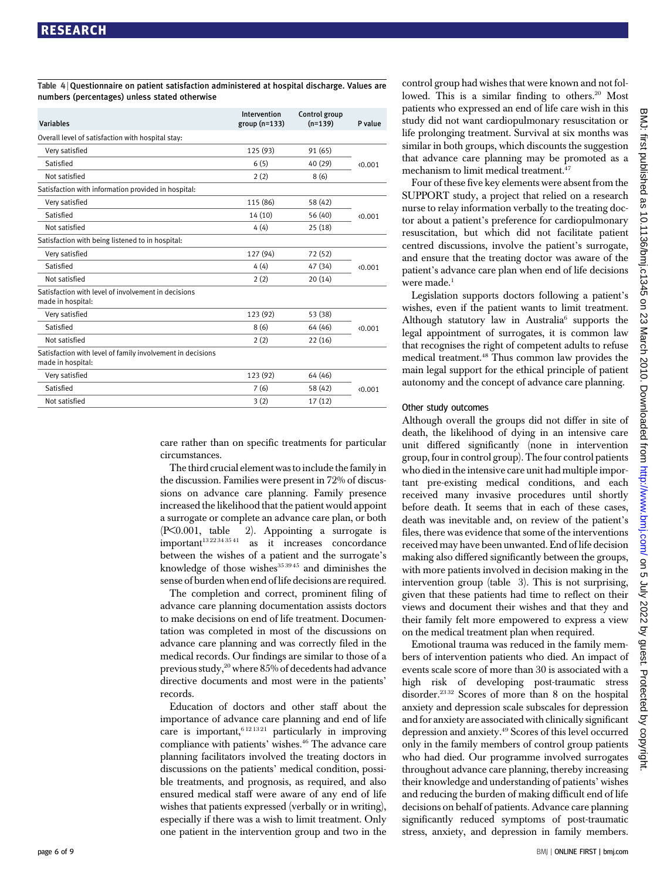Table 4 <sup>|</sup> Questionnaire on patient satisfaction administered at hospital discharge. Values are numbers (percentages) unless stated otherwise

| <b>Variables</b>                                                                | Intervention<br>$group(n=133)$ | Control group<br>$(n=139)$ | P value |
|---------------------------------------------------------------------------------|--------------------------------|----------------------------|---------|
| Overall level of satisfaction with hospital stay:                               |                                |                            |         |
| Very satisfied                                                                  | 125 (93)                       | 91 (65)                    |         |
| Satisfied                                                                       | 6(5)                           | 40 (29)                    | (0.001) |
| Not satisfied                                                                   | 2(2)                           | 8(6)                       |         |
| Satisfaction with information provided in hospital:                             |                                |                            |         |
| Very satisfied                                                                  | 115 (86)                       | 58 (42)                    |         |
| Satisfied                                                                       | 14(10)                         | 56 (40)                    | (0.001) |
| Not satisfied                                                                   | 4(4)                           | 25(18)                     |         |
| Satisfaction with being listened to in hospital:                                |                                |                            |         |
| Very satisfied                                                                  | 127 (94)                       | 72 (52)                    |         |
| Satisfied                                                                       | 4(4)                           | 47 (34)                    | (0.001) |
| Not satisfied                                                                   | 2(2)                           | 20(14)                     |         |
| Satisfaction with level of involvement in decisions<br>made in hospital:        |                                |                            |         |
| Very satisfied                                                                  | 123 (92)                       | 53 (38)                    | (0.001) |
| Satisfied                                                                       | 8(6)                           | 64 (46)                    |         |
| Not satisfied                                                                   | 2(2)                           | 22(16)                     |         |
| Satisfaction with level of family involvement in decisions<br>made in hospital: |                                |                            |         |
| Very satisfied                                                                  | 123 (92)                       | 64 (46)                    |         |
| Satisfied                                                                       | 7(6)                           | 58 (42)                    | (0.001) |
| Not satisfied                                                                   | 3(2)                           | 17(12)                     |         |
|                                                                                 |                                |                            |         |

care rather than on specific treatments for particular circumstances.

The third crucial element was to include the family in the discussion. Families were present in 72% of discussions on advance care planning. Family presence increased the likelihood that the patient would appoint a surrogate or complete an advance care plan, or both (P<0.001, table 2). Appointing a surrogate is  $important<sup>13 22 34 35 41</sup>$  as it increases concordance between the wishes of a patient and the surrogate's knowledge of those wishes $35\frac{3945}{5}$  and diminishes the sense of burden when end of life decisions are required.

The completion and correct, prominent filing of advance care planning documentation assists doctors to make decisions on end of life treatment. Documentation was completed in most of the discussions on advance care planning and was correctly filed in the medical records. Our findings are similar to those of a previous study,<sup>20</sup> where 85% of decedents had advance directive documents and most were in the patients' records.

Education of doctors and other staff about the importance of advance care planning and end of life care is important,  $6121321$  particularly in improving compliance with patients' wishes.46 The advance care planning facilitators involved the treating doctors in discussions on the patients' medical condition, possible treatments, and prognosis, as required, and also ensured medical staff were aware of any end of life wishes that patients expressed (verbally or in writing), especially if there was a wish to limit treatment. Only one patient in the intervention group and two in the control group had wishes that were known and not followed. This is a similar finding to others.<sup>20</sup> Most patients who expressed an end of life care wish in this study did not want cardiopulmonary resuscitation or life prolonging treatment. Survival at six months was similar in both groups, which discounts the suggestion that advance care planning may be promoted as a mechanism to limit medical treatment.<sup>47</sup>

Four of these five key elements were absent from the SUPPORT study, a project that relied on a research nurse to relay information verbally to the treating doctor about a patient's preference for cardiopulmonary resuscitation, but which did not facilitate patient centred discussions, involve the patient's surrogate, and ensure that the treating doctor was aware of the patient's advance care plan when end of life decisions were made.<sup>1</sup>

Legislation supports doctors following a patient's wishes, even if the patient wants to limit treatment. Although statutory law in Australia $6$  supports the legal appointment of surrogates, it is common law that recognises the right of competent adults to refuse medical treatment.48 Thus common law provides the main legal support for the ethical principle of patient autonomy and the concept of advance care planning.

#### Other study outcomes

Although overall the groups did not differ in site of death, the likelihood of dying in an intensive care unit differed significantly (none in intervention group, four in control group). The four control patients who died in the intensive care unit had multiple important pre-existing medical conditions, and each received many invasive procedures until shortly before death. It seems that in each of these cases, death was inevitable and, on review of the patient's files, there was evidence that some of the interventions received may have been unwanted. End of life decision making also differed significantly between the groups, with more patients involved in decision making in the intervention group (table 3). This is not surprising, given that these patients had time to reflect on their views and document their wishes and that they and their family felt more empowered to express a view on the medical treatment plan when required.

Emotional trauma was reduced in the family members of intervention patients who died. An impact of events scale score of more than 30 is associated with a high risk of developing post-traumatic stress disorder.23 32 Scores of more than 8 on the hospital anxiety and depression scale subscales for depression and for anxiety are associated with clinically significant depression and anxiety.49 Scores of this level occurred only in the family members of control group patients who had died. Our programme involved surrogates throughout advance care planning, thereby increasing their knowledge and understanding of patients' wishes and reducing the burden of making difficult end of life decisions on behalf of patients. Advance care planning significantly reduced symptoms of post-traumatic stress, anxiety, and depression in family members.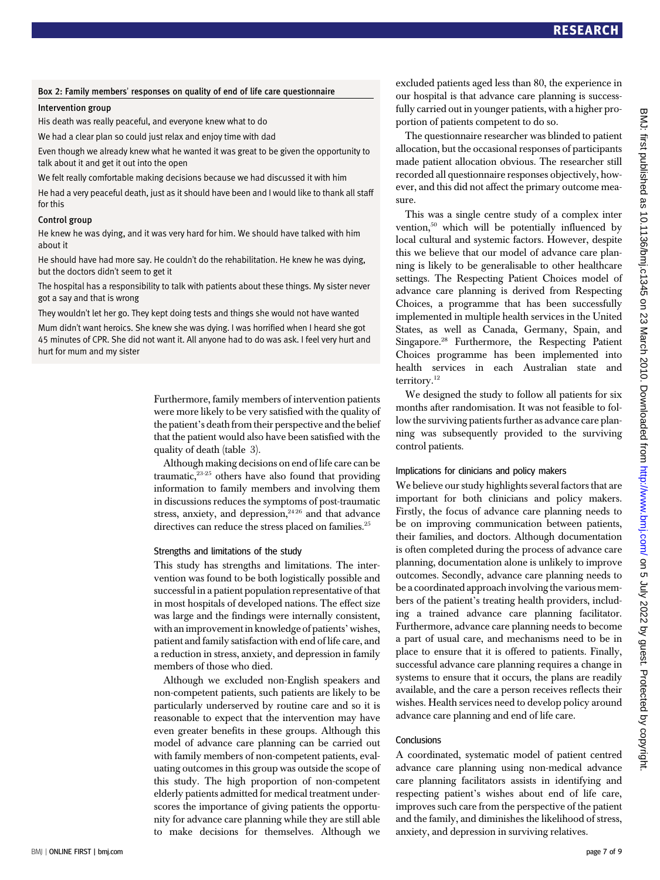#### Box 2: Family members' responses on quality of end of life care questionnaire

#### Intervention group

His death was really peaceful, and everyone knew what to do

We had a clear plan so could just relax and enjoy time with dad

Even though we already knew what he wanted it was great to be given the opportunity to talk about it and get it out into the open

We felt really comfortable making decisions because we had discussed it with him

He had a very peaceful death, just as it should have been and I would like to thank all staff for this

#### Control group

He knew he was dying, and it was very hard for him. We should have talked with him about it

He should have had more say. He couldn't do the rehabilitation. He knew he was dying, but the doctors didn't seem to get it

The hospital has a responsibility to talk with patients about these things. My sister never got a say and that is wrong

They wouldn't let her go. They kept doing tests and things she would not have wanted

Mum didn't want heroics. She knew she was dying. I was horrified when I heard she got 45 minutes of CPR. She did not want it. All anyone had to do was ask. I feel very hurt and hurt for mum and my sister

> Furthermore, family members of intervention patients were more likely to be very satisfied with the quality of the patient's death from their perspective and the belief that the patient would also have been satisfied with the quality of death (table 3).

> Although making decisions on end of life care can be traumatic, $23-25$  others have also found that providing information to family members and involving them in discussions reduces the symptoms of post-traumatic stress, anxiety, and depression,<sup>2426</sup> and that advance directives can reduce the stress placed on families.<sup>25</sup>

#### Strengths and limitations of the study

This study has strengths and limitations. The intervention was found to be both logistically possible and successful in a patient population representative of that in most hospitals of developed nations. The effect size was large and the findings were internally consistent, with an improvement in knowledge of patients' wishes, patient and family satisfaction with end of life care, and a reduction in stress, anxiety, and depression in family members of those who died.

Although we excluded non-English speakers and non-competent patients, such patients are likely to be particularly underserved by routine care and so it is reasonable to expect that the intervention may have even greater benefits in these groups. Although this model of advance care planning can be carried out with family members of non-competent patients, evaluating outcomes in this group was outside the scope of this study. The high proportion of non-competent elderly patients admitted for medical treatment underscores the importance of giving patients the opportunity for advance care planning while they are still able to make decisions for themselves. Although we

excluded patients aged less than 80, the experience in our hospital is that advance care planning is successfully carried out in younger patients, with a higher proportion of patients competent to do so.

The questionnaire researcher was blinded to patient allocation, but the occasional responses of participants made patient allocation obvious. The researcher still recorded all questionnaire responses objectively, however, and this did not affect the primary outcome measure.

This was a single centre study of a complex inter vention,<sup>50</sup> which will be potentially influenced by local cultural and systemic factors. However, despite this we believe that our model of advance care planning is likely to be generalisable to other healthcare settings. The Respecting Patient Choices model of advance care planning is derived from Respecting Choices, a programme that has been successfully implemented in multiple health services in the United States, as well as Canada, Germany, Spain, and Singapore.28 Furthermore, the Respecting Patient Choices programme has been implemented into health services in each Australian state and territory. $^{12}$ 

We designed the study to follow all patients for six months after randomisation. It was not feasible to follow the surviving patients further as advance care planning was subsequently provided to the surviving control patients.

#### Implications for clinicians and policy makers

We believe our study highlights several factors that are important for both clinicians and policy makers. Firstly, the focus of advance care planning needs to be on improving communication between patients, their families, and doctors. Although documentation is often completed during the process of advance care planning, documentation alone is unlikely to improve outcomes. Secondly, advance care planning needs to be a coordinated approach involving the various members of the patient's treating health providers, including a trained advance care planning facilitator. Furthermore, advance care planning needs to become a part of usual care, and mechanisms need to be in place to ensure that it is offered to patients. Finally, successful advance care planning requires a change in systems to ensure that it occurs, the plans are readily available, and the care a person receives reflects their wishes. Health services need to develop policy around advance care planning and end of life care.

#### **Conclusions**

A coordinated, systematic model of patient centred advance care planning using non-medical advance care planning facilitators assists in identifying and respecting patient's wishes about end of life care, improves such care from the perspective of the patient and the family, and diminishes the likelihood of stress, anxiety, and depression in surviving relatives.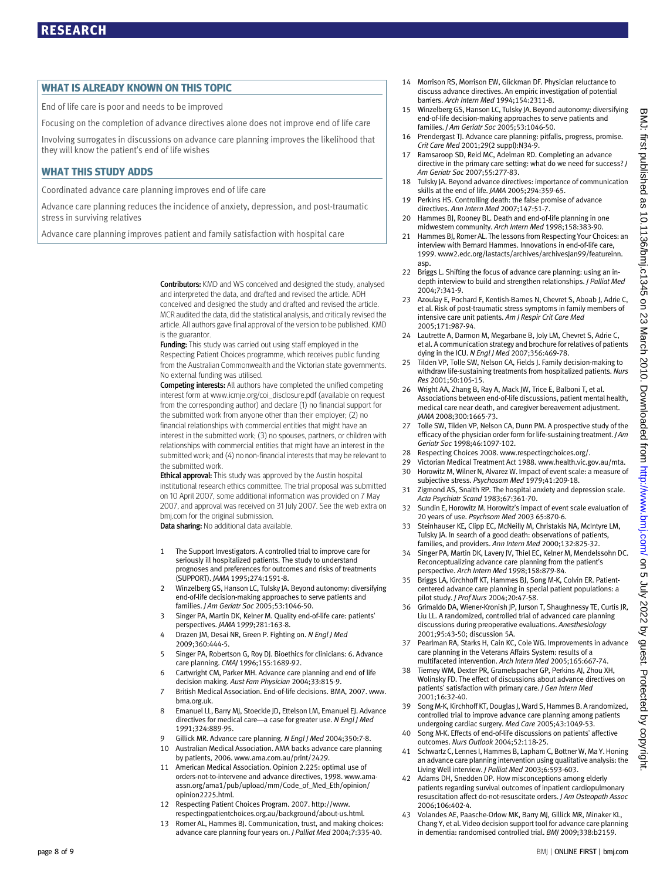#### WHAT IS ALREADY KNOWN ON THIS TOPIC

End of life care is poor and needs to be improved

Focusing on the completion of advance directives alone does not improve end of life care

Involving surrogates in discussions on advance care planning improves the likelihood that they will know the patient's end of life wishes

#### WHAT THIS STUDY ADDS

Coordinated advance care planning improves end of life care

Advance care planning reduces the incidence of anxiety, depression, and post-traumatic stress in surviving relatives

Advance care planning improves patient and family satisfaction with hospital care

Contributors: KMD and WS conceived and designed the study, analysed and interpreted the data, and drafted and revised the article. ADH conceived and designed the study and drafted and revised the article. MCR audited the data, did the statistical analysis, and critically revised the article. All authors gave final approval of the version to be published. KMD is the guarantor.

Funding: This study was carried out using staff employed in the Respecting Patient Choices programme, which receives public funding from the Australian Commonwealth and the Victorian state governments. No external funding was utilised.

Competing interests: All authors have completed the unified competing interest form at www.icmje.org/coi\_disclosure.pdf (available on request from the corresponding author) and declare (1) no financial support for the submitted work from anyone other than their employer; (2) no financial relationships with commercial entities that might have an interest in the submitted work; (3) no spouses, partners, or children with relationships with commercial entities that might have an interest in the submitted work; and (4) no non-financial interests that may be relevant to the submitted work.

**Ethical approval:** This study was approved by the Austin hospital institutional research ethics committee. The trial proposal was submitted on 10 April 2007, some additional information was provided on 7 May 2007, and approval was received on 31 July 2007. See the web extra on bmj.com for the original submission.

Data sharing: No additional data available.

- 1 The Support Investigators. A controlled trial to improve care for seriously ill hospitalized patients. The study to understand prognoses and preferences for outcomes and risks of treatments (SUPPORT). JAMA 1995;274:1591-8.
- 2 Winzelberg GS, Hanson LC, Tulsky JA. Beyond autonomy: diversifying end-of-life decision-making approaches to serve patients and families. J Am Geriatr Soc 2005;53:1046-50.
- 3 Singer PA, Martin DK, Kelner M. Quality end-of-life care: patients' perspectives. JAMA 1999;281:163-8.
- 4 Drazen JM, Desai NR, Green P. Fighting on. N Engl J Med 2009;360:444-5.
- 5 Singer PA, Robertson G, Roy DJ. Bioethics for clinicians: 6. Advance care planning. CMAJ 1996;155:1689-92.
- 6 Cartwright CM, Parker MH. Advance care planning and end of life decision making. Aust Fam Physician 2004;33:815-9.
- 7 British Medical Association. End-of-life decisions. BMA, 2007. www. bma.org.uk.
- 8 Emanuel LL, Barry MJ, Stoeckle JD, Ettelson LM, Emanuel EJ. Advance directives for medical care—a case for greater use. N Engl J Med 1991;324:889-95.
- 9 Gillick MR. Advance care planning. N Engl J Med 2004;350:7-8.
- 10 Australian Medical Association. AMA backs advance care planning by patients, 2006. www.ama.com.au/print/2429.
- 11 American Medical Association. Opinion 2.225: optimal use of orders-not-to-intervene and advance directives, 1998. www.amaassn.org/ama1/pub/upload/mm/Code\_of\_Med\_Eth/opinion/ opinion2225.html.
- 12 Respecting Patient Choices Program. 2007. http://www. respectingpatientchoices.org.au/background/about-us.html.
- 13 Romer AL, Hammes BJ. Communication, trust, and making choices: advance care planning four years on. J Palliat Med 2004;7:335-40.
- 14 Morrison RS, Morrison EW, Glickman DF. Physician reluctance to discuss advance directives. An empiric investigation of potential barriers. Arch Intern Med 1994;154:2311-8.
- 15 Winzelberg GS, Hanson LC, Tulsky JA. Beyond autonomy: diversifying end-of-life decision-making approaches to serve patients and families. J Am Geriatr Soc 2005;53:1046-50.
- 16 Prendergast TJ. Advance care planning: pitfalls, progress, promise. Crit Care Med 2001;29(2 suppl):N34-9.
- 17 Ramsaroop SD, Reid MC, Adelman RD. Completing an advance directive in the primary care setting: what do we need for success? J Am Geriatr Soc 2007;55:277-83.
- Tulsky JA. Beyond advance directives: importance of communication skills at the end of life. JAMA 2005;294:359-65.
- 19 Perkins HS. Controlling death: the false promise of advance directives. Ann Intern Med 2007;147:51-7.
- 20 Hammes BJ, Rooney BL. Death and end-of-life planning in one midwestern community. Arch Intern Med 1998;158:383-90.
- 21 Hammes BJ, Romer AL. The lessons from Respecting Your Choices: an interview with Bernard Hammes. Innovations in end-of-life care, 1999. www2.edc.org/lastacts/archives/archivesJan99/featureinn. asp.
- 22 Briggs L. Shifting the focus of advance care planning: using an indepth interview to build and strengthen relationships. J Palliat Med 2004;7:341-9.
- 23 Azoulay E, Pochard F, Kentish-Barnes N, Chevret S, Aboab J, Adrie C, et al. Risk of post-traumatic stress symptoms in family members of intensive care unit patients. Am J Respir Crit Care Med 2005;171:987-94.
- 24 Lautrette A, Darmon M, Megarbane B, Joly LM, Chevret S, Adrie C, et al. A communication strategy and brochure for relatives of patients dying in the ICU. N Fnal I Med 2007:356:469-78.
- Tilden VP, Tolle SW, Nelson CA, Fields J. Family decision-making to withdraw life-sustaining treatments from hospitalized patients. Nurs Res 2001;50:105-15.
- 26 Wright AA, Zhang B, Ray A, Mack JW, Trice E, Balboni T, et al. Associations between end-of-life discussions, patient mental health, medical care near death, and caregiver bereavement adjustment. JAMA 2008;300:1665-73.
- 27 Tolle SW, Tilden VP, Nelson CA, Dunn PM. A prospective study of the efficacy of the physician order form for life-sustaining treatment. J Am Geriatr Soc 1998;46:1097-102.
- 28 Respecting Choices 2008. www.respectingchoices.org/.
- 29 Victorian Medical Treatment Act 1988. www.health.vic.gov.au/mta.
- 30 Horowitz M, Wilner N, Alvarez W. Impact of event scale: a measure of subjective stress. Psychosom Med 1979;41:209-18.
- 31 Zigmond AS, Snaith RP. The hospital anxiety and depression scale. Acta Psychiatr Scand 1983;67:361-70.
- 32 Sundin E, Horowitz M. Horowitz's impact of event scale evaluation of 20 years of use. Psychsom Med 2003 65:870-6.
- 33 Steinhauser KE, Clipp EC, McNeilly M, Christakis NA, McIntyre LM, Tulsky JA. In search of a good death: observations of patients, families, and providers. Ann Intern Med 2000;132:825-32.
- 34 Singer PA, Martin DK, Lavery JV, Thiel EC, Kelner M, Mendelssohn DC. Reconceptualizing advance care planning from the patient's perspective. Arch Intern Med 1998;158:879-84.
- Briggs LA, Kirchhoff KT, Hammes BJ, Song M-K, Colvin ER. Patientcentered advance care planning in special patient populations: a pilot study. J Prof Nurs 2004;20:47-58.
- 36 Grimaldo DA, Wiener-Kronish JP, Jurson T, Shaughnessy TE, Curtis JR, Liu LL. A randomized, controlled trial of advanced care planning discussions during preoperative evaluations. Anesthesiology 2001;95:43-50; discussion 5A.
- 37 Pearlman RA, Starks H, Cain KC, Cole WG. Improvements in advance care planning in the Veterans Affairs System: results of a multifaceted intervention. Arch Intern Med 2005;165:667-74.
- 38 Tierney WM, Dexter PR, Gramelspacher GP, Perkins AJ, Zhou XH, Wolinsky FD. The effect of discussions about advance directives on patients' satisfaction with primary care. J Gen Intern Med 2001;16:32-40.
- 39 Song M-K, Kirchhoff KT, Douglas J, Ward S, Hammes B. A randomized, controlled trial to improve advance care planning among patients undergoing cardiac surgery. Med Care 2005;43:1049-53.
- Song M-K. Effects of end-of-life discussions on patients' affective outcomes. Nurs Outlook 2004;52:118-25.
- 41 Schwartz C, Lennes I, Hammes B, Lapham C, Bottner W, Ma Y. Honing an advance care planning intervention using qualitative analysis: the Living Well interview. J Palliat Med 2003;6:593-603.
- 42 Adams DH, Snedden DP. How misconceptions among elderly patients regarding survival outcomes of inpatient cardiopulmonary resuscitation affect do-not-resuscitate orders. J Am Osteopath Assoc 2006;106:402-4.
- 43 Volandes AE, Paasche-Orlow MK, Barry MJ, Gillick MR, Minaker KL, Chang Y, et al. Video decision support tool for advance care planning in dementia: randomised controlled trial. BMJ 2009;338:b2159.

BMJ: first published as 10.1136/bmj.c1345 on 23 March 2010. Downloaded from <http://www.bmj.com/> on 5 July 2022 by guest. Protected by copyright.

from http://www.bmj.com/ on 5

kluly

2022 by

guest. Protected by copyright

**Downloaded** 

BMJ: first prolished

as

10.1136/bmj.c1345

 $\mathsf{S}$ Σ 3 March

2010